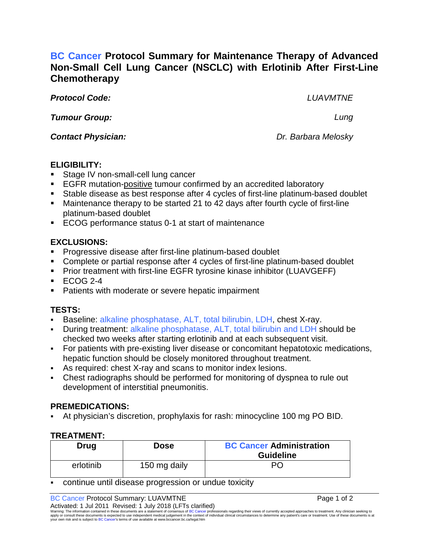# **BC Cancer Protocol Summary for Maintenance Therapy of Advanced Non-Small Cell Lung Cancer (NSCLC) with Erlotinib After First-Line Chemotherapy**

*Protocol Code: LUAVMTNE*

*Tumour Group: Lung*

*Contact Physician: Dr. Barbara Melosky*

## **ELIGIBILITY:**

- Stage IV non-small-cell lung cancer
- **EGFR** mutation-positive tumour confirmed by an accredited laboratory
- Stable disease as best response after 4 cycles of first-line platinum-based doublet
- Maintenance therapy to be started 21 to 42 days after fourth cycle of first-line platinum-based doublet
- ECOG performance status 0-1 at start of maintenance

# **EXCLUSIONS:**

- Progressive disease after first-line platinum-based doublet
- Complete or partial response after 4 cycles of first-line platinum-based doublet
- **Prior treatment with first-line EGFR tyrosine kinase inhibitor (LUAVGEFF)**
- $\textdegree$  ECOG 2-4
- **Patients with moderate or severe hepatic impairment**

# **TESTS:**

- Baseline: alkaline phosphatase, ALT, total bilirubin, LDH, chest X-ray.
- During treatment: alkaline phosphatase, ALT, total bilirubin and LDH should be checked two weeks after starting erlotinib and at each subsequent visit.
- For patients with pre-existing liver disease or concomitant hepatotoxic medications, hepatic function should be closely monitored throughout treatment.
- As required: chest X-ray and scans to monitor index lesions.
- Chest radiographs should be performed for monitoring of dyspnea to rule out development of interstitial pneumonitis.

## **PREMEDICATIONS:**

At physician's discretion, prophylaxis for rash: minocycline 100 mg PO BID.

## **TREATMENT:**

| Drug      | <b>Dose</b>  | <b>BC Cancer Administration</b> |
|-----------|--------------|---------------------------------|
|           |              | <b>Guideline</b>                |
| erlotinib | 150 mg daily | PO.                             |

continue until disease progression or undue toxicity